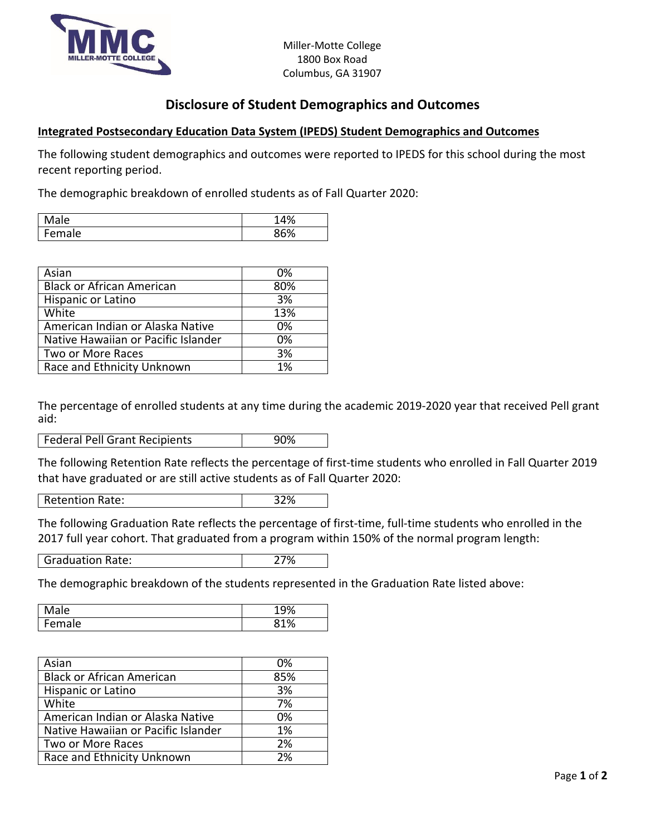

## **Disclosure of Student Demographics and Outcomes**

## **Integrated Postsecondary Education Data System (IPEDS) Student Demographics and Outcomes**

The following student demographics and outcomes were reported to IPEDS for this school during the most recent reporting period.

The demographic breakdown of enrolled students as of Fall Quarter 2020:

| Male   | 14% |
|--------|-----|
| Female | 86% |

| Asian                               | 0%  |
|-------------------------------------|-----|
| <b>Black or African American</b>    | 80% |
| Hispanic or Latino                  | 3%  |
| White                               | 13% |
| American Indian or Alaska Native    | 0%  |
| Native Hawaiian or Pacific Islander | 0%  |
| Two or More Races                   | 3%  |
| Race and Ethnicity Unknown          | 1%  |

The percentage of enrolled students at any time during the academic 2019-2020 year that received Pell grant aid:

**Federal Pell Grant Recipients** 190%

The following Retention Rate reflects the percentage of first-time students who enrolled in Fall Quarter 2019 that have graduated or are still active students as of Fall Quarter 2020:

Retention Rate: 32%

The following Graduation Rate reflects the percentage of first-time, full-time students who enrolled in the 2017 full year cohort. That graduated from a program within 150% of the normal program length:

Graduation Rate: 27%

The demographic breakdown of the students represented in the Graduation Rate listed above:

| ale                             | .9% |
|---------------------------------|-----|
| -<br>$-nr$<br>ale<br><b>CIL</b> | 81% |

| Asian                               | 0%  |
|-------------------------------------|-----|
| <b>Black or African American</b>    | 85% |
| Hispanic or Latino                  | 3%  |
| White                               | 7%  |
| American Indian or Alaska Native    | 0%  |
| Native Hawaiian or Pacific Islander | 1%  |
| Two or More Races                   | 2%  |
| Race and Ethnicity Unknown          | 2%  |